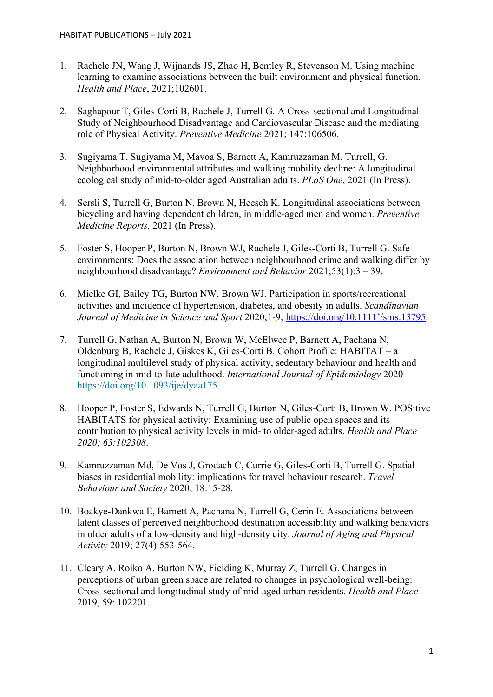- 1. Rachele JN, Wang J, Wijnands JS, Zhao H, Bentley R, Stevenson M. Using machine learning to examine associations between the built environment and physical function. *Health and Place*, 2021;102601.
- 2. Saghapour T, Giles-Corti B, Rachele J, Turrell G. A Cross-sectional and Longitudinal Study of Neighbourhood Disadvantage and Cardiovascular Disease and the mediating role of Physical Activity. *Preventive Medicine* 2021; 147:106506.
- 3. Sugiyama T, Sugiyama M, Mavoa S, Barnett A, Kamruzzaman M, Turrell, G. Neighborhood environmental attributes and walking mobility decline: A longitudinal ecological study of mid-to-older aged Australian adults. *PLoS One*, 2021 (In Press).
- 4. Sersli S, Turrell G, Burton N, Brown N, Heesch K. Longitudinal associations between bicycling and having dependent children, in middle-aged men and women. *Preventive Medicine Reports,* 2021 (In Press).
- 5. Foster S, Hooper P, Burton N, Brown WJ, Rachele J, Giles-Corti B, Turrell G. Safe environments: Does the association between neighbourhood crime and walking differ by neighbourhood disadvantage? *Environment and Behavior* 2021;53(1):3 – 39.
- 6. Mielke GI, Bailey TG, Burton NW, Brown WJ. Participation in sports/recreational activities and incidence of hypertension, diabetes, and obesity in adults. *Scandinavian Journal of Medicine in Science and Sport* 2020;1-9; [https://doi.org/10.1111'/sms.13795.](https://doi.org/10.1111)
- 7. Turrell G, Nathan A, Burton N, Brown W, McElwee P, Barnett A, Pachana N, Oldenburg B, Rachele J, Giskes K, Giles-Corti B. Cohort Profile: HABITAT – a longitudinal multilevel study of physical activity, sedentary behaviour and health and functioning in mid-to-late adulthood. *International Journal of Epidemiology* 2020 <https://doi.org/10.1093/ije/dyaa175>
- 8. Hooper P, Foster S, Edwards N, Turrell G, Burton N, Giles-Corti B, Brown W. POSitive HABITATS for physical activity: Examining use of public open spaces and its contribution to physical activity levels in mid- to older-aged adults. *Health and Place 2020; 63:102308*.
- 9. Kamruzzaman Md, De Vos J, Grodach C, Currie G, Giles-Corti B, Turrell G. Spatial biases in residential mobility: implications for travel behaviour research. *Travel Behaviour and Society* 2020; 18:15-28.
- 10. Boakye-Dankwa E, Barnett A, Pachana N, Turrell G, Cerin E. Associations between latent classes of perceived neighborhood destination accessibility and walking behaviors in older adults of a low-density and high-density city. *Journal of Aging and Physical Activity* 2019; 27(4):553-564.
- 11. Cleary A, Roiko A, Burton NW, Fielding K, Murray Z, Turrell G. Changes in perceptions of urban green space are related to changes in psychological well-being: Cross-sectional and longitudinal study of mid-aged urban residents. *Health and Place*  2019, 59: 102201.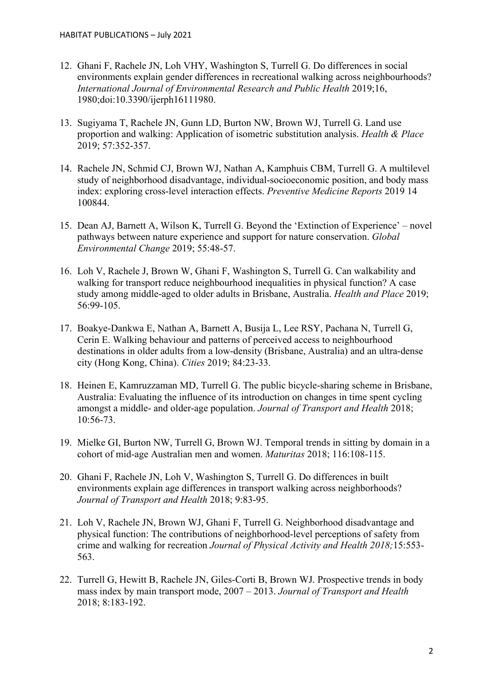- 12. Ghani F, Rachele JN, Loh VHY, Washington S, Turrell G. Do differences in social environments explain gender differences in recreational walking across neighbourhoods? *International Journal of Environmental Research and Public Health* 2019;16, 1980;doi:10.3390/ijerph16111980.
- 13. Sugiyama T, Rachele JN, Gunn LD, Burton NW, Brown WJ, Turrell G. Land use proportion and walking: Application of isometric substitution analysis. *Health & Place* 2019; 57:352-357.
- 14. Rachele JN, Schmid CJ, Brown WJ, Nathan A, Kamphuis CBM, Turrell G. A multilevel study of neighborhood disadvantage, individual-socioeconomic position, and body mass index: exploring cross-level interaction effects. *Preventive Medicine Reports* 2019 14 100844.
- 15. Dean AJ, Barnett A, Wilson K, Turrell G. Beyond the 'Extinction of Experience' novel pathways between nature experience and support for nature conservation. *Global Environmental Change* 2019; 55:48-57.
- 16. Loh V, Rachele J, Brown W, Ghani F, Washington S, Turrell G. Can walkability and walking for transport reduce neighbourhood inequalities in physical function? A case study among middle-aged to older adults in Brisbane, Australia. *Health and Place* 2019; 56:99-105.
- 17. Boakye-Dankwa E, Nathan A, Barnett A, Busija L, Lee RSY, Pachana N, Turrell G, Cerin E. Walking behaviour and patterns of perceived access to neighbourhood destinations in older adults from a low-density (Brisbane, Australia) and an ultra-dense city (Hong Kong, China). *Cities* 2019; 84:23-33.
- 18. Heinen E, Kamruzzaman MD, Turrell G. The public bicycle-sharing scheme in Brisbane, Australia: Evaluating the influence of its introduction on changes in time spent cycling amongst a middle- and older-age population. *Journal of Transport and Health* 2018; 10:56-73.
- 19. Mielke GI, Burton NW, Turrell G, Brown WJ. Temporal trends in sitting by domain in a cohort of mid-age Australian men and women. *Maturitas* 2018; 116:108-115.
- 20. Ghani F, Rachele JN, Loh V, Washington S, Turrell G. Do differences in built environments explain age differences in transport walking across neighborhoods? *Journal of Transport and Health* 2018; 9:83-95.
- 21. Loh V, Rachele JN, Brown WJ, Ghani F, Turrell G. Neighborhood disadvantage and physical function: The contributions of neighborhood-level perceptions of safety from crime and walking for recreation *Journal of Physical Activity and Health 2018;*15:553- 563.
- 22. Turrell G, Hewitt B, Rachele JN, Giles-Corti B, Brown WJ. Prospective trends in body mass index by main transport mode, 2007 – 2013. *Journal of Transport and Health* 2018; 8:183-192.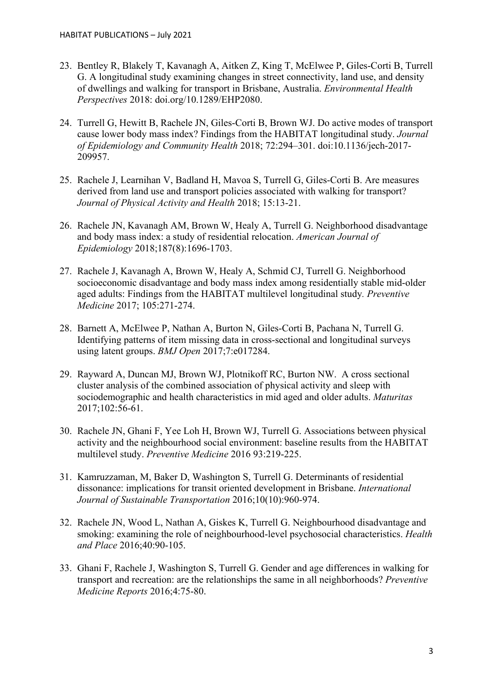- 23. Bentley R, Blakely T, Kavanagh A, Aitken Z, King T, McElwee P, Giles-Corti B, Turrell G. A longitudinal study examining changes in street connectivity, land use, and density of dwellings and walking for transport in Brisbane, Australia. *Environmental Health Perspectives* 2018: doi.org/10.1289/EHP2080.
- 24. Turrell G, Hewitt B, Rachele JN, Giles-Corti B, Brown WJ. Do active modes of transport cause lower body mass index? Findings from the HABITAT longitudinal study. *Journal of Epidemiology and Community Health* 2018; 72:294–301. doi:10.1136/jech-2017- 209957.
- 25. Rachele J, Learnihan V, Badland H, Mavoa S, Turrell G, Giles-Corti B. Are measures derived from land use and transport policies associated with walking for transport? *Journal of Physical Activity and Health* 2018; 15:13-21.
- 26. Rachele JN, Kavanagh AM, Brown W, Healy A, Turrell G. Neighborhood disadvantage and body mass index: a study of residential relocation. *American Journal of Epidemiology* 2018;187(8):1696-1703.
- 27. Rachele J, Kavanagh A, Brown W, Healy A, Schmid CJ, Turrell G. Neighborhood socioeconomic disadvantage and body mass index among residentially stable mid-older aged adults: Findings from the HABITAT multilevel longitudinal study*. Preventive Medicine* 2017; 105:271-274.
- 28. Barnett A, McElwee P, Nathan A, Burton N, Giles-Corti B, Pachana N, Turrell G. Identifying patterns of item missing data in cross-sectional and longitudinal surveys using latent groups. *BMJ Open* 2017;7:e017284.
- 29. Rayward A, Duncan MJ, Brown WJ, Plotnikoff RC, Burton NW. A cross sectional cluster analysis of the combined association of physical activity and sleep with sociodemographic and health characteristics in mid aged and older adults. *Maturitas* 2017;102:56-61.
- 30. Rachele JN, Ghani F, Yee Loh H, Brown WJ, Turrell G. Associations between physical activity and the neighbourhood social environment: baseline results from the HABITAT multilevel study. *Preventive Medicine* 2016 93:219-225.
- 31. Kamruzzaman, M, Baker D, Washington S, Turrell G. Determinants of residential dissonance: implications for transit oriented development in Brisbane. *International Journal of Sustainable Transportation* 2016;10(10):960-974.
- 32. Rachele JN, Wood L, Nathan A, Giskes K, Turrell G. Neighbourhood disadvantage and smoking: examining the role of neighbourhood-level psychosocial characteristics. *Health and Place* 2016;40:90-105.
- 33. Ghani F, Rachele J, Washington S, Turrell G. Gender and age differences in walking for transport and recreation: are the relationships the same in all neighborhoods? *Preventive Medicine Reports* 2016;4:75-80.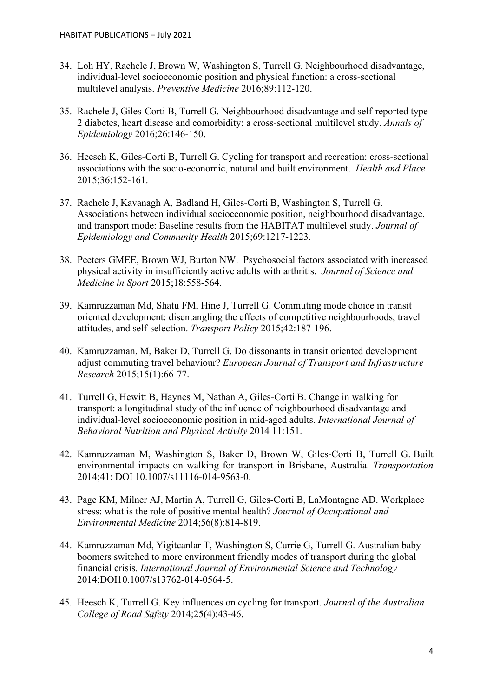- 34. Loh HY, Rachele J, Brown W, Washington S, Turrell G. Neighbourhood disadvantage, individual-level socioeconomic position and physical function: a cross-sectional multilevel analysis. *Preventive Medicine* 2016;89:112-120.
- 35. Rachele J, Giles-Corti B, Turrell G. Neighbourhood disadvantage and self-reported type 2 diabetes, heart disease and comorbidity: a cross-sectional multilevel study. *Annals of Epidemiology* 2016;26:146-150.
- 36. Heesch K, Giles-Corti B, Turrell G. Cycling for transport and recreation: cross-sectional associations with the socio-economic, natural and built environment. *Health and Place* 2015;36:152-161.
- 37. Rachele J, Kavanagh A, Badland H, Giles-Corti B, Washington S, Turrell G. Associations between individual socioeconomic position, neighbourhood disadvantage, and transport mode: Baseline results from the HABITAT multilevel study. *Journal of Epidemiology and Community Health* 2015;69:1217-1223.
- 38. Peeters GMEE, Brown WJ, Burton NW. Psychosocial factors associated with increased physical activity in insufficiently active adults with arthritis. *Journal of Science and Medicine in Sport* 2015;18:558-564.
- 39. Kamruzzaman Md, Shatu FM, Hine J, Turrell G. Commuting mode choice in transit oriented development: disentangling the effects of competitive neighbourhoods, travel attitudes, and self-selection. *Transport Policy* 2015;42:187-196.
- 40. Kamruzzaman, M, Baker D, Turrell G. Do dissonants in transit oriented development adjust commuting travel behaviour? *European Journal of Transport and Infrastructure Research* 2015;15(1):66-77.
- 41. Turrell G, Hewitt B, Haynes M, Nathan A, Giles-Corti B. Change in walking for transport: a longitudinal study of the influence of neighbourhood disadvantage and individual-level socioeconomic position in mid-aged adults. *International Journal of Behavioral Nutrition and Physical Activity* 2014 11:151.
- 42. Kamruzzaman M, Washington S, Baker D, Brown W, Giles-Corti B, Turrell G. Built environmental impacts on walking for transport in Brisbane, Australia. *Transportation* 2014;41: DOI 10.1007/s11116-014-9563-0.
- 43. Page KM, Milner AJ, Martin A, Turrell G, Giles-Corti B, LaMontagne AD. Workplace stress: what is the role of positive mental health? *Journal of Occupational and Environmental Medicine* 2014;56(8):814-819.
- 44. Kamruzzaman Md, Yigitcanlar T, Washington S, Currie G, Turrell G. Australian baby boomers switched to more environment friendly modes of transport during the global financial crisis. *International Journal of Environmental Science and Technology* 2014;DOI10.1007/s13762-014-0564-5.
- 45. Heesch K, Turrell G. Key influences on cycling for transport. *Journal of the Australian College of Road Safety* 2014;25(4):43-46.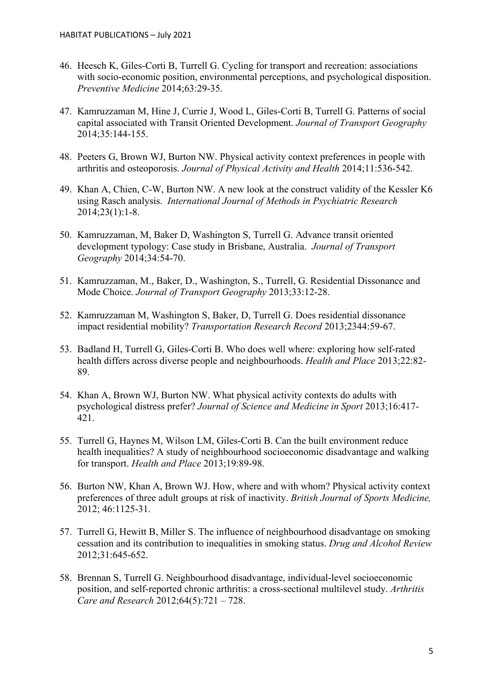- 46. Heesch K, Giles-Corti B, Turrell G. Cycling for transport and recreation: associations with socio-economic position, environmental perceptions, and psychological disposition. *Preventive Medicine* 2014;63:29-35.
- 47. Kamruzzaman M, Hine J, Currie J, Wood L, Giles-Corti B, Turrell G. Patterns of social capital associated with Transit Oriented Development. *Journal of Transport Geography* 2014;35:144-155.
- 48. Peeters G, Brown WJ, Burton NW. Physical activity context preferences in people with arthritis and osteoporosis. *Journal of Physical Activity and Health* 2014;11:536-542.
- 49. Khan A, Chien, C-W, Burton NW. A new look at the construct validity of the Kessler K6 using Rasch analysis. *International Journal of Methods in Psychiatric Research* 2014;23(1):1-8.
- 50. Kamruzzaman, M, Baker D, Washington S, Turrell G. Advance transit oriented development typology: Case study in Brisbane, Australia. *Journal of Transport Geography* 2014;34:54-70.
- 51. Kamruzzaman, M., Baker, D., Washington, S., Turrell, G. Residential Dissonance and Mode Choice. *Journal of Transport Geography* 2013;33:12-28.
- 52. Kamruzzaman M, Washington S, Baker, D, Turrell G. Does residential dissonance impact residential mobility? *Transportation Research Record* 2013;2344:59-67.
- 53. Badland H, Turrell G, Giles-Corti B. Who does well where: exploring how self-rated health differs across diverse people and neighbourhoods. *Health and Place* 2013;22:82- 89.
- 54. Khan A, Brown WJ, Burton NW. What physical activity contexts do adults with psychological distress prefer? *Journal of Science and Medicine in Sport* 2013;16:417- 421.
- 55. Turrell G, Haynes M, Wilson LM, Giles-Corti B. Can the built environment reduce health inequalities? A study of neighbourhood socioeconomic disadvantage and walking for transport. *Health and Place* 2013;19:89-98.
- 56. Burton NW, Khan A, Brown WJ. How, where and with whom? Physical activity context preferences of three adult groups at risk of inactivity. *British Journal of Sports Medicine,*  2012; 46:1125-31.
- 57. Turrell G, Hewitt B, Miller S. The influence of neighbourhood disadvantage on smoking cessation and its contribution to inequalities in smoking status. *Drug and Alcohol Review* 2012;31:645-652.
- 58. Brennan S, Turrell G. Neighbourhood disadvantage, individual-level socioeconomic position, and self-reported chronic arthritis: a cross-sectional multilevel study. *Arthritis Care and Research* 2012;64(5):721 – 728.